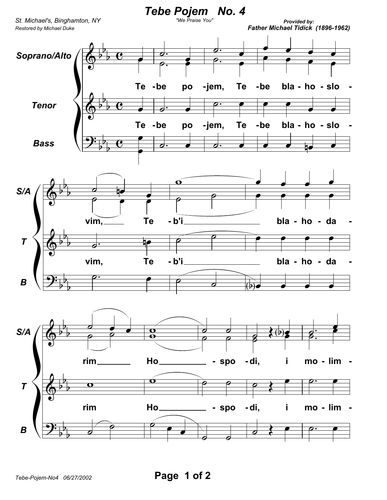

*Tebe-Pojem-No4 06/27/2002* **Page 1 of 2**